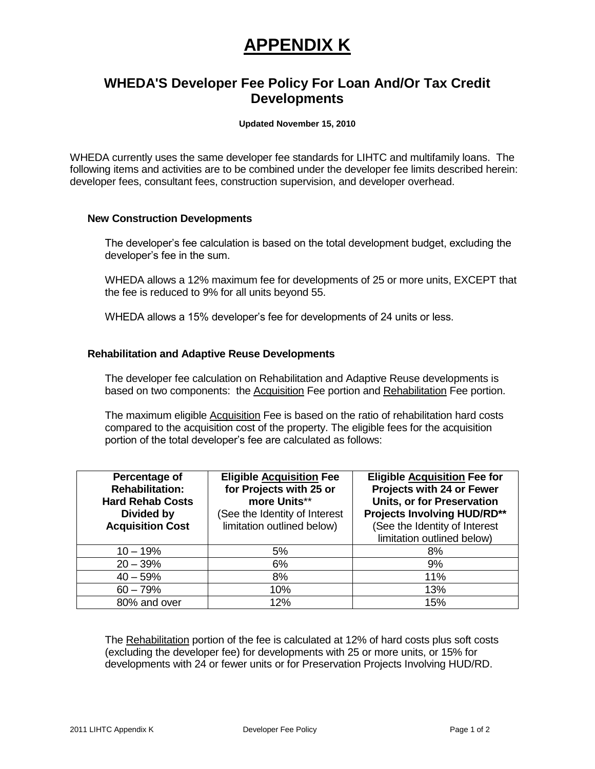# **APPENDIX K**

## **WHEDA'S Developer Fee Policy For Loan And/Or Tax Credit Developments**

**Updated November 15, 2010**

WHEDA currently uses the same developer fee standards for LIHTC and multifamily loans. The following items and activities are to be combined under the developer fee limits described herein: developer fees, consultant fees, construction supervision, and developer overhead.

#### **New Construction Developments**

The developer's fee calculation is based on the total development budget, excluding the developer's fee in the sum.

WHEDA allows a 12% maximum fee for developments of 25 or more units, EXCEPT that the fee is reduced to 9% for all units beyond 55.

WHEDA allows a 15% developer's fee for developments of 24 units or less.

#### **Rehabilitation and Adaptive Reuse Developments**

The developer fee calculation on Rehabilitation and Adaptive Reuse developments is based on two components: the Acquisition Fee portion and Rehabilitation Fee portion.

The maximum eligible Acquisition Fee is based on the ratio of rehabilitation hard costs compared to the acquisition cost of the property. The eligible fees for the acquisition portion of the total developer's fee are calculated as follows:

| Percentage of<br><b>Rehabilitation:</b><br><b>Hard Rehab Costs</b><br>Divided by<br><b>Acquisition Cost</b> | <b>Eligible Acquisition Fee</b><br>for Projects with 25 or<br>more Units**<br>(See the Identity of Interest<br>limitation outlined below) | <b>Eligible Acquisition Fee for</b><br>Projects with 24 or Fewer<br><b>Units, or for Preservation</b><br><b>Projects Involving HUD/RD**</b><br>(See the Identity of Interest<br>limitation outlined below) |
|-------------------------------------------------------------------------------------------------------------|-------------------------------------------------------------------------------------------------------------------------------------------|------------------------------------------------------------------------------------------------------------------------------------------------------------------------------------------------------------|
| $10 - 19%$                                                                                                  | 5%                                                                                                                                        | 8%                                                                                                                                                                                                         |
| $20 - 39%$                                                                                                  | 6%                                                                                                                                        | 9%                                                                                                                                                                                                         |
| $40 - 59%$                                                                                                  | 8%                                                                                                                                        | 11%                                                                                                                                                                                                        |
| $60 - 79%$                                                                                                  | 10%                                                                                                                                       | 13%                                                                                                                                                                                                        |
| 80% and over                                                                                                | 12%                                                                                                                                       | 15%                                                                                                                                                                                                        |

The Rehabilitation portion of the fee is calculated at 12% of hard costs plus soft costs (excluding the developer fee) for developments with 25 or more units, or 15% for developments with 24 or fewer units or for Preservation Projects Involving HUD/RD.